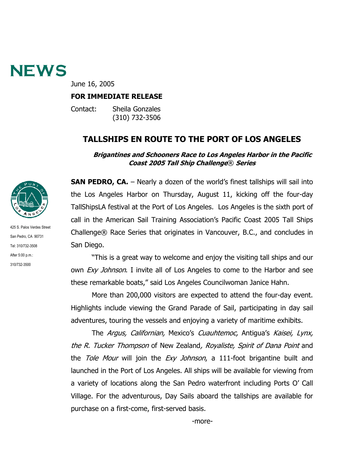

June 16, 2005

#### **FOR IMMEDIATE RELEASE**

Contact: Sheila Gonzales (310) 732-3506

# **TALLSHIPS EN ROUTE TO THE PORT OF LOS ANGELES**

#### **Brigantines and Schooners Race to Los Angeles Harbor in the Pacific Coast 2005 Tall Ship Challenge**® **Series**



San Pedro, CA 90731 Tel: 310/732-3508 After 5:00 p.m.: 310/732-3500

425 S. Palos Verdes Street

**SAN PEDRO, CA.** – Nearly a dozen of the world's finest tallships will sail into the Los Angeles Harbor on Thursday, August 11, kicking off the four-day TallShipsLA festival at the Port of Los Angeles. Los Angeles is the sixth port of call in the American Sail Training Association's Pacific Coast 2005 Tall Ships Challenge® Race Series that originates in Vancouver, B.C., and concludes in San Diego.

"This is a great way to welcome and enjoy the visiting tall ships and our own *Exy Johnson*. I invite all of Los Angeles to come to the Harbor and see these remarkable boats," said Los Angeles Councilwoman Janice Hahn.

More than 200,000 visitors are expected to attend the four-day event. Highlights include viewing the Grand Parade of Sail, participating in day sail adventures, touring the vessels and enjoying a variety of maritime exhibits.

The Argus, Californian, Mexico's Cuauhtemoc, Antigua's Kaisei, Lynx, the R. Tucker Thompson of New Zealand, Royaliste, Spirit of Dana Point and the Tole Mour will join the Exy Johnson, a 111-foot brigantine built and launched in the Port of Los Angeles. All ships will be available for viewing from a variety of locations along the San Pedro waterfront including Ports O' Call Village. For the adventurous, Day Sails aboard the tallships are available for purchase on a first-come, first-served basis.